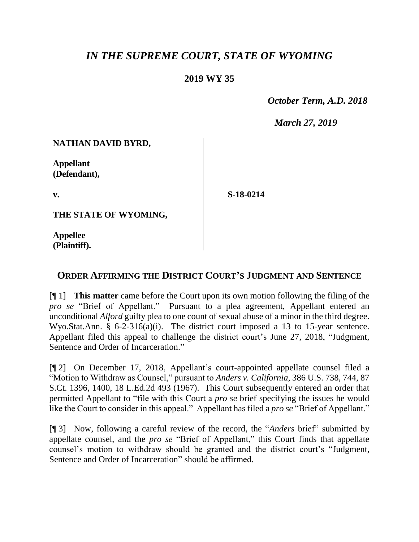## *IN THE SUPREME COURT, STATE OF WYOMING*

## **2019 WY 35**

 *October Term, A.D. 2018*

*March 27, 2019*

**NATHAN DAVID BYRD,** 

**Appellant (Defendant),**

**v.**

**S-18-0214**

**THE STATE OF WYOMING,**

**Appellee (Plaintiff).**

## **ORDER AFFIRMING THE DISTRICT COURT'S JUDGMENT AND SENTENCE**

[¶ 1] **This matter** came before the Court upon its own motion following the filing of the *pro se* "Brief of Appellant." Pursuant to a plea agreement, Appellant entered an unconditional *Alford* guilty plea to one count of sexual abuse of a minor in the third degree. Wyo.Stat.Ann. § 6-2-316(a)(i). The district court imposed a 13 to 15-year sentence. Appellant filed this appeal to challenge the district court's June 27, 2018, "Judgment, Sentence and Order of Incarceration."

[¶ 2] On December 17, 2018, Appellant's court-appointed appellate counsel filed a "Motion to Withdraw as Counsel," pursuant to *Anders v. California*, 386 U.S. 738, 744, 87 S.Ct. 1396, 1400, 18 L.Ed.2d 493 (1967). This Court subsequently entered an order that permitted Appellant to "file with this Court a *pro se* brief specifying the issues he would like the Court to consider in this appeal." Appellant has filed a *pro se* "Brief of Appellant."

[¶ 3] Now, following a careful review of the record, the "*Anders* brief" submitted by appellate counsel, and the *pro se* "Brief of Appellant," this Court finds that appellate counsel's motion to withdraw should be granted and the district court's "Judgment, Sentence and Order of Incarceration" should be affirmed.